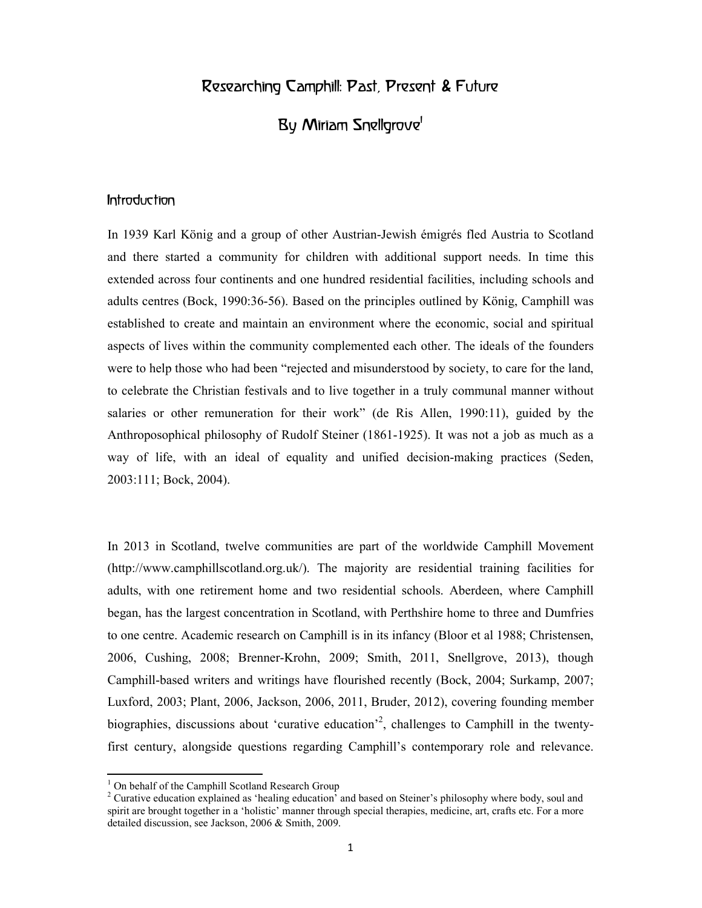# Researching Camphill: Past, Present & Future

# By Miriam Snellgrove<sup>1</sup>

#### Introduction

In 1939 Karl König and a group of other Austrian-Jewish émigrés fled Austria to Scotland and there started a community for children with additional support needs. In time this extended across four continents and one hundred residential facilities, including schools and adults centres (Bock, 1990:36-56). Based on the principles outlined by König, Camphill was established to create and maintain an environment where the economic, social and spiritual aspects of lives within the community complemented each other. The ideals of the founders were to help those who had been "rejected and misunderstood by society, to care for the land, to celebrate the Christian festivals and to live together in a truly communal manner without salaries or other remuneration for their work" (de Ris Allen, 1990:11), guided by the Anthroposophical philosophy of Rudolf Steiner (1861-1925). It was not a job as much as a way of life, with an ideal of equality and unified decision-making practices (Seden, 2003:111; Bock, 2004).

In 2013 in Scotland, twelve communities are part of the worldwide Camphill Movement (http://www.camphillscotland.org.uk/). The majority are residential training facilities for adults, with one retirement home and two residential schools. Aberdeen, where Camphill began, has the largest concentration in Scotland, with Perthshire home to three and Dumfries to one centre. Academic research on Camphill is in its infancy (Bloor et al 1988; Christensen, 2006, Cushing, 2008; Brenner-Krohn, 2009; Smith, 2011, Snellgrove, 2013), though Camphill-based writers and writings have flourished recently (Bock, 2004; Surkamp, 2007; Luxford, 2003; Plant, 2006, Jackson, 2006, 2011, Bruder, 2012), covering founding member biographies, discussions about 'curative education'<sup>2</sup>, challenges to Camphill in the twentyfirst century, alongside questions regarding Camphill's contemporary role and relevance.

<sup>&</sup>lt;sup>1</sup> On behalf of the Camphill Scotland Research Group

<sup>&</sup>lt;sup>2</sup> Curative education explained as 'healing education<sup>3</sup> and based on Steiner's philosophy where body, soul and spirit are brought together in a 'holistic' manner through special therapies, medicine, art, crafts etc. For a more detailed discussion, see Jackson, 2006 & Smith, 2009.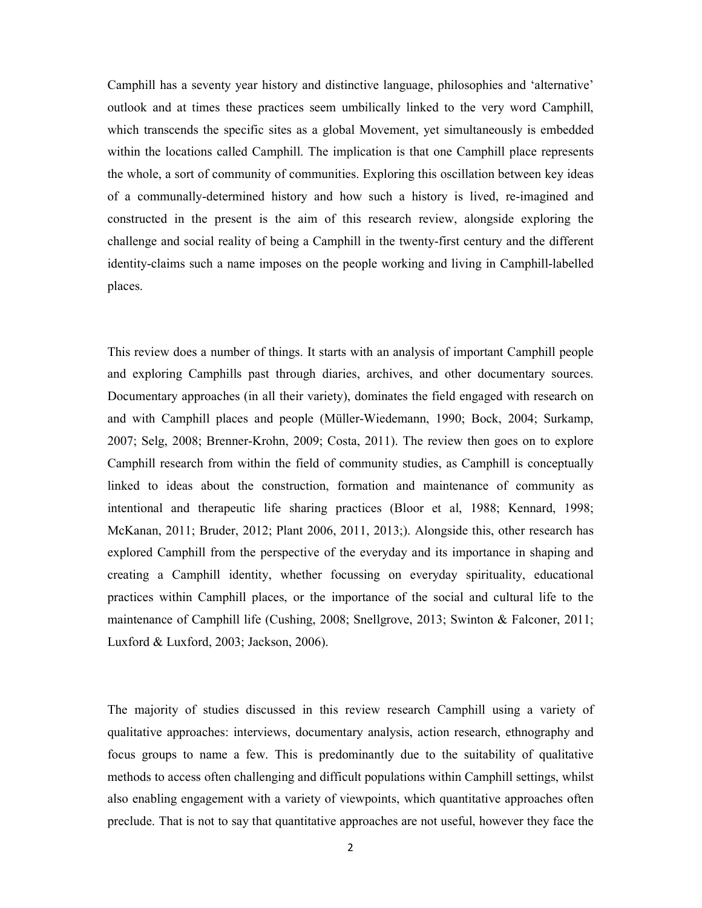Camphill has a seventy year history and distinctive language, philosophies and 'alternative' outlook and at times these practices seem umbilically linked to the very word Camphill, which transcends the specific sites as a global Movement, yet simultaneously is embedded within the locations called Camphill. The implication is that one Camphill place represents the whole, a sort of community of communities. Exploring this oscillation between key ideas of a communally-determined history and how such a history is lived, re-imagined and constructed in the present is the aim of this research review, alongside exploring the challenge and social reality of being a Camphill in the twenty-first century and the different identity-claims such a name imposes on the people working and living in Camphill-labelled places.

This review does a number of things. It starts with an analysis of important Camphill people and exploring Camphills past through diaries, archives, and other documentary sources. Documentary approaches (in all their variety), dominates the field engaged with research on and with Camphill places and people (Müller-Wiedemann, 1990; Bock, 2004; Surkamp, 2007; Selg, 2008; Brenner-Krohn, 2009; Costa, 2011). The review then goes on to explore Camphill research from within the field of community studies, as Camphill is conceptually linked to ideas about the construction, formation and maintenance of community as intentional and therapeutic life sharing practices (Bloor et al, 1988; Kennard, 1998; McKanan, 2011; Bruder, 2012; Plant 2006, 2011, 2013;). Alongside this, other research has explored Camphill from the perspective of the everyday and its importance in shaping and creating a Camphill identity, whether focussing on everyday spirituality, educational practices within Camphill places, or the importance of the social and cultural life to the maintenance of Camphill life (Cushing, 2008; Snellgrove, 2013; Swinton & Falconer, 2011; Luxford & Luxford, 2003; Jackson, 2006).

The majority of studies discussed in this review research Camphill using a variety of qualitative approaches: interviews, documentary analysis, action research, ethnography and focus groups to name a few. This is predominantly due to the suitability of qualitative methods to access often challenging and difficult populations within Camphill settings, whilst also enabling engagement with a variety of viewpoints, which quantitative approaches often preclude. That is not to say that quantitative approaches are not useful, however they face the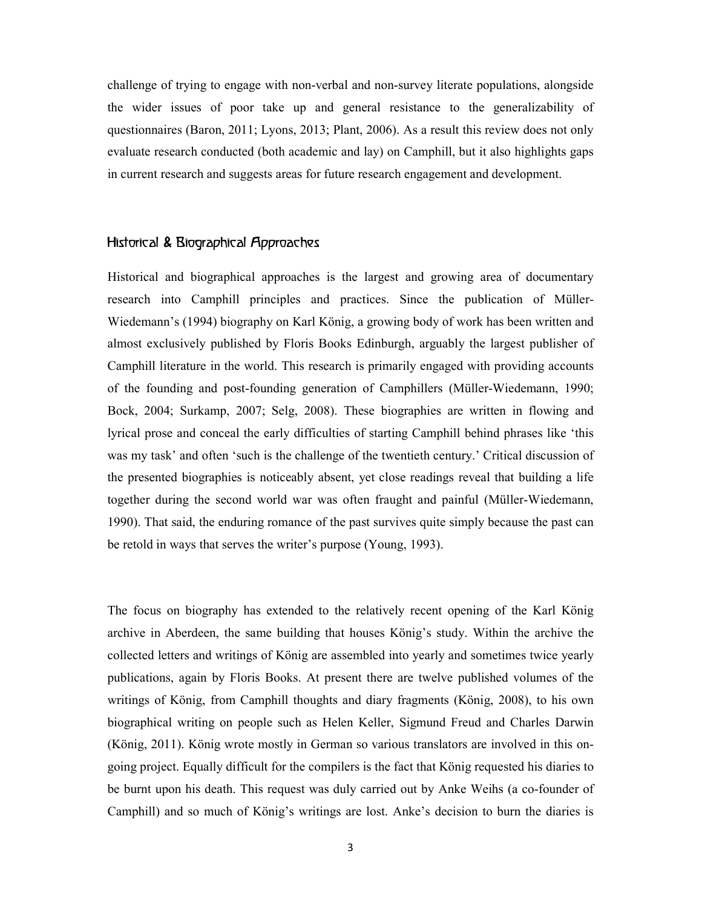challenge of trying to engage with non-verbal and non-survey literate populations, alongside the wider issues of poor take up and general resistance to the generalizability of questionnaires (Baron, 2011; Lyons, 2013; Plant, 2006). As a result this review does not only evaluate research conducted (both academic and lay) on Camphill, but it also highlights gaps in current research and suggests areas for future research engagement and development.

#### Historical & Biographical Approaches

Historical and biographical approaches is the largest and growing area of documentary research into Camphill principles and practices. Since the publication of Müller-Wiedemann's (1994) biography on Karl König, a growing body of work has been written and almost exclusively published by Floris Books Edinburgh, arguably the largest publisher of Camphill literature in the world. This research is primarily engaged with providing accounts of the founding and post-founding generation of Camphillers (Müller-Wiedemann, 1990; Bock, 2004; Surkamp, 2007; Selg, 2008). These biographies are written in flowing and lyrical prose and conceal the early difficulties of starting Camphill behind phrases like 'this was my task' and often 'such is the challenge of the twentieth century.' Critical discussion of the presented biographies is noticeably absent, yet close readings reveal that building a life together during the second world war was often fraught and painful (Müller-Wiedemann, 1990). That said, the enduring romance of the past survives quite simply because the past can be retold in ways that serves the writer's purpose (Young, 1993).

The focus on biography has extended to the relatively recent opening of the Karl König archive in Aberdeen, the same building that houses König's study. Within the archive the collected letters and writings of König are assembled into yearly and sometimes twice yearly publications, again by Floris Books. At present there are twelve published volumes of the writings of König, from Camphill thoughts and diary fragments (König, 2008), to his own biographical writing on people such as Helen Keller, Sigmund Freud and Charles Darwin (König, 2011). König wrote mostly in German so various translators are involved in this ongoing project. Equally difficult for the compilers is the fact that König requested his diaries to be burnt upon his death. This request was duly carried out by Anke Weihs (a co-founder of Camphill) and so much of König's writings are lost. Anke's decision to burn the diaries is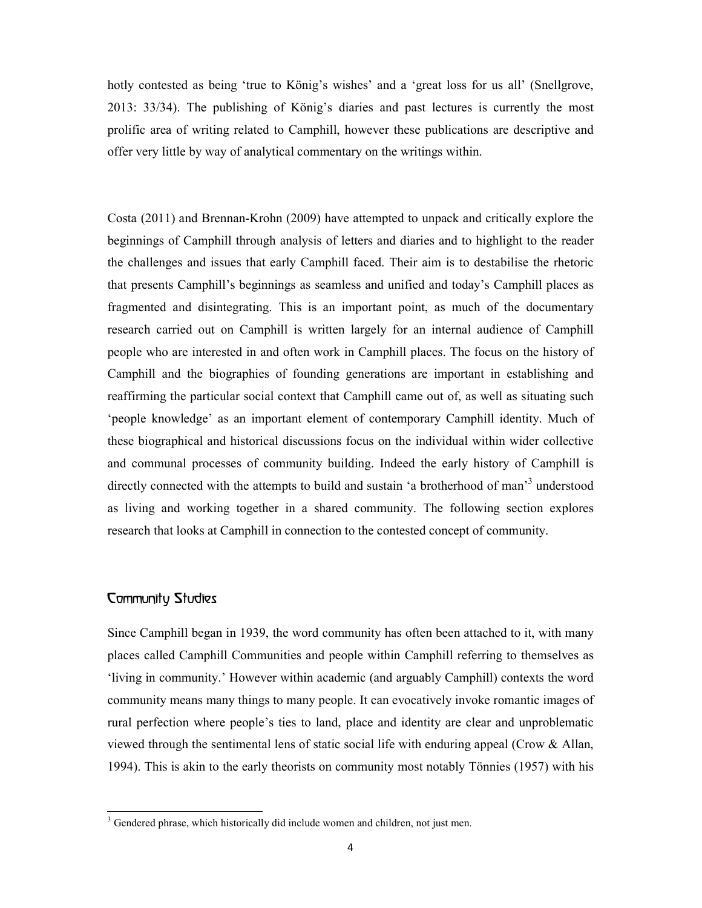hotly contested as being 'true to König's wishes' and a 'great loss for us all' (Snellgrove, 2013: 33/34). The publishing of König's diaries and past lectures is currently the most prolific area of writing related to Camphill, however these publications are descriptive and offer very little by way of analytical commentary on the writings within.

Costa (2011) and Brennan-Krohn (2009) have attempted to unpack and critically explore the beginnings of Camphill through analysis of letters and diaries and to highlight to the reader the challenges and issues that early Camphill faced. Their aim is to destabilise the rhetoric that presents Camphill's beginnings as seamless and unified and today's Camphill places as fragmented and disintegrating. This is an important point, as much of the documentary research carried out on Camphill is written largely for an internal audience of Camphill people who are interested in and often work in Camphill places. The focus on the history of Camphill and the biographies of founding generations are important in establishing and reaffirming the particular social context that Camphill came out of, as well as situating such 'people knowledge' as an important element of contemporary Camphill identity. Much of these biographical and historical discussions focus on the individual within wider collective and communal processes of community building. Indeed the early history of Camphill is directly connected with the attempts to build and sustain 'a brotherhood of man<sup>3</sup> understood as living and working together in a shared community. The following section explores research that looks at Camphill in connection to the contested concept of community.

#### Community Studies

 $\overline{a}$ 

Since Camphill began in 1939, the word community has often been attached to it, with many places called Camphill Communities and people within Camphill referring to themselves as 'living in community.' However within academic (and arguably Camphill) contexts the word community means many things to many people. It can evocatively invoke romantic images of rural perfection where people's ties to land, place and identity are clear and unproblematic viewed through the sentimental lens of static social life with enduring appeal (Crow  $\&$  Allan, 1994). This is akin to the early theorists on community most notably Tönnies (1957) with his

<sup>&</sup>lt;sup>3</sup> Gendered phrase, which historically did include women and children, not just men.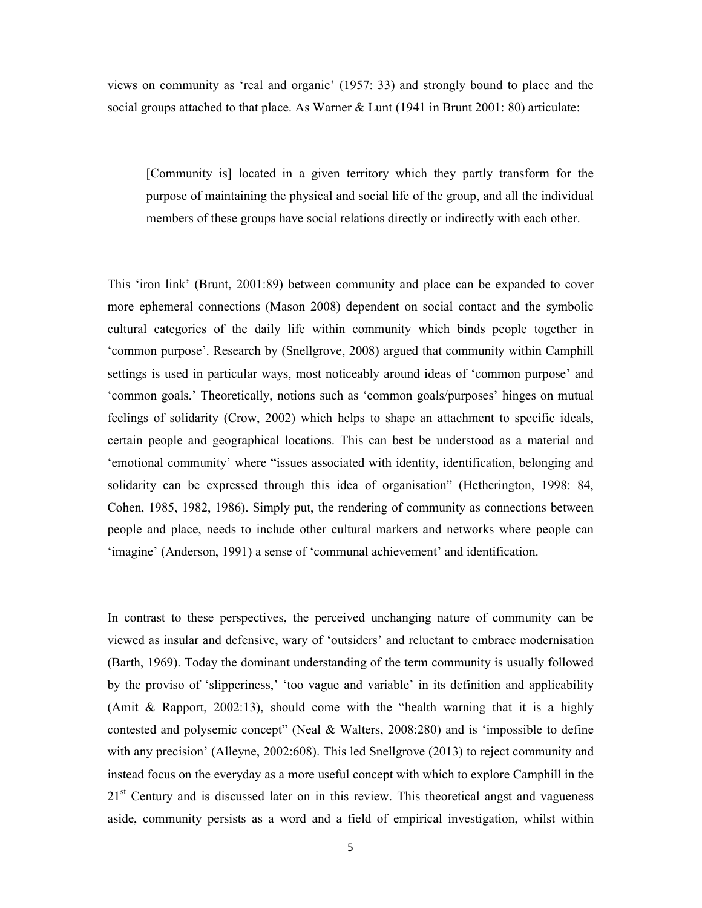views on community as 'real and organic' (1957: 33) and strongly bound to place and the social groups attached to that place. As Warner & Lunt (1941 in Brunt 2001: 80) articulate:

[Community is] located in a given territory which they partly transform for the purpose of maintaining the physical and social life of the group, and all the individual members of these groups have social relations directly or indirectly with each other.

This 'iron link' (Brunt, 2001:89) between community and place can be expanded to cover more ephemeral connections (Mason 2008) dependent on social contact and the symbolic cultural categories of the daily life within community which binds people together in 'common purpose'. Research by (Snellgrove, 2008) argued that community within Camphill settings is used in particular ways, most noticeably around ideas of 'common purpose' and 'common goals.' Theoretically, notions such as 'common goals/purposes' hinges on mutual feelings of solidarity (Crow, 2002) which helps to shape an attachment to specific ideals, certain people and geographical locations. This can best be understood as a material and 'emotional community' where "issues associated with identity, identification, belonging and solidarity can be expressed through this idea of organisation" (Hetherington, 1998: 84, Cohen, 1985, 1982, 1986). Simply put, the rendering of community as connections between people and place, needs to include other cultural markers and networks where people can 'imagine' (Anderson, 1991) a sense of 'communal achievement' and identification.

In contrast to these perspectives, the perceived unchanging nature of community can be viewed as insular and defensive, wary of 'outsiders' and reluctant to embrace modernisation (Barth, 1969). Today the dominant understanding of the term community is usually followed by the proviso of 'slipperiness,' 'too vague and variable' in its definition and applicability (Amit & Rapport, 2002:13), should come with the "health warning that it is a highly contested and polysemic concept" (Neal & Walters, 2008:280) and is 'impossible to define with any precision' (Alleyne, 2002:608). This led Snellgrove (2013) to reject community and instead focus on the everyday as a more useful concept with which to explore Camphill in the  $21<sup>st</sup>$  Century and is discussed later on in this review. This theoretical angst and vagueness aside, community persists as a word and a field of empirical investigation, whilst within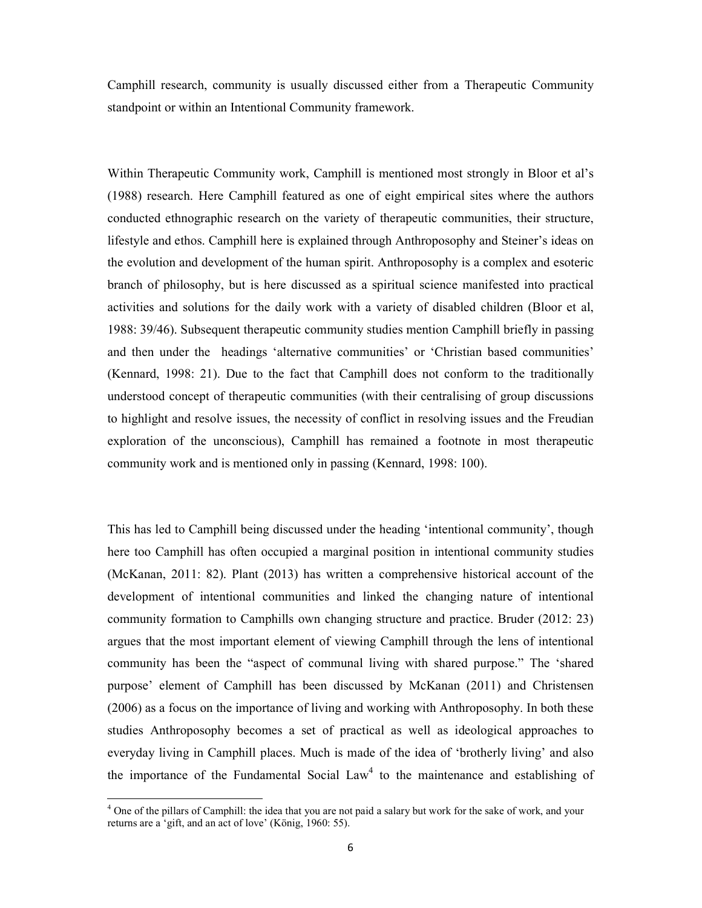Camphill research, community is usually discussed either from a Therapeutic Community standpoint or within an Intentional Community framework.

Within Therapeutic Community work, Camphill is mentioned most strongly in Bloor et al's (1988) research. Here Camphill featured as one of eight empirical sites where the authors conducted ethnographic research on the variety of therapeutic communities, their structure, lifestyle and ethos. Camphill here is explained through Anthroposophy and Steiner's ideas on the evolution and development of the human spirit. Anthroposophy is a complex and esoteric branch of philosophy, but is here discussed as a spiritual science manifested into practical activities and solutions for the daily work with a variety of disabled children (Bloor et al, 1988: 39/46). Subsequent therapeutic community studies mention Camphill briefly in passing and then under the headings 'alternative communities' or 'Christian based communities' (Kennard, 1998: 21). Due to the fact that Camphill does not conform to the traditionally understood concept of therapeutic communities (with their centralising of group discussions to highlight and resolve issues, the necessity of conflict in resolving issues and the Freudian exploration of the unconscious), Camphill has remained a footnote in most therapeutic community work and is mentioned only in passing (Kennard, 1998: 100).

This has led to Camphill being discussed under the heading 'intentional community', though here too Camphill has often occupied a marginal position in intentional community studies (McKanan, 2011: 82). Plant (2013) has written a comprehensive historical account of the development of intentional communities and linked the changing nature of intentional community formation to Camphills own changing structure and practice. Bruder (2012: 23) argues that the most important element of viewing Camphill through the lens of intentional community has been the "aspect of communal living with shared purpose." The 'shared purpose' element of Camphill has been discussed by McKanan (2011) and Christensen (2006) as a focus on the importance of living and working with Anthroposophy. In both these studies Anthroposophy becomes a set of practical as well as ideological approaches to everyday living in Camphill places. Much is made of the idea of 'brotherly living' and also the importance of the Fundamental Social  $Law<sup>4</sup>$  to the maintenance and establishing of

<sup>&</sup>lt;sup>4</sup> One of the pillars of Camphill: the idea that you are not paid a salary but work for the sake of work, and your returns are a 'gift, and an act of love' (König, 1960: 55).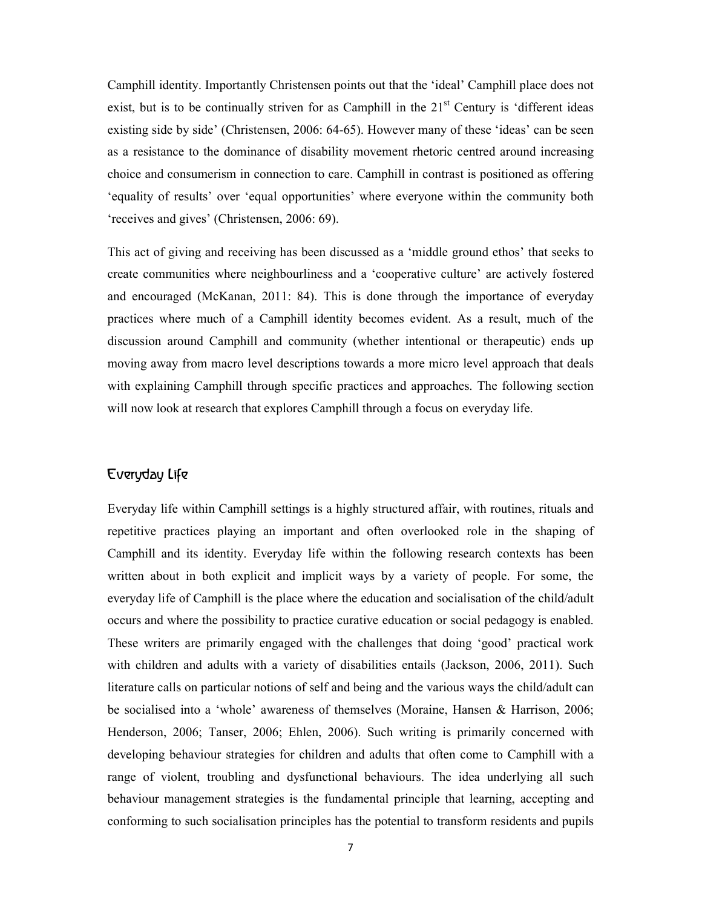Camphill identity. Importantly Christensen points out that the 'ideal' Camphill place does not exist, but is to be continually striven for as Camphill in the  $21<sup>st</sup>$  Century is 'different ideas existing side by side' (Christensen, 2006: 64-65). However many of these 'ideas' can be seen as a resistance to the dominance of disability movement rhetoric centred around increasing choice and consumerism in connection to care. Camphill in contrast is positioned as offering 'equality of results' over 'equal opportunities' where everyone within the community both 'receives and gives' (Christensen, 2006: 69).

This act of giving and receiving has been discussed as a 'middle ground ethos' that seeks to create communities where neighbourliness and a 'cooperative culture' are actively fostered and encouraged (McKanan, 2011: 84). This is done through the importance of everyday practices where much of a Camphill identity becomes evident. As a result, much of the discussion around Camphill and community (whether intentional or therapeutic) ends up moving away from macro level descriptions towards a more micro level approach that deals with explaining Camphill through specific practices and approaches. The following section will now look at research that explores Camphill through a focus on everyday life.

## Everyday Life

Everyday life within Camphill settings is a highly structured affair, with routines, rituals and repetitive practices playing an important and often overlooked role in the shaping of Camphill and its identity. Everyday life within the following research contexts has been written about in both explicit and implicit ways by a variety of people. For some, the everyday life of Camphill is the place where the education and socialisation of the child/adult occurs and where the possibility to practice curative education or social pedagogy is enabled. These writers are primarily engaged with the challenges that doing 'good' practical work with children and adults with a variety of disabilities entails (Jackson, 2006, 2011). Such literature calls on particular notions of self and being and the various ways the child/adult can be socialised into a 'whole' awareness of themselves (Moraine, Hansen & Harrison, 2006; Henderson, 2006; Tanser, 2006; Ehlen, 2006). Such writing is primarily concerned with developing behaviour strategies for children and adults that often come to Camphill with a range of violent, troubling and dysfunctional behaviours. The idea underlying all such behaviour management strategies is the fundamental principle that learning, accepting and conforming to such socialisation principles has the potential to transform residents and pupils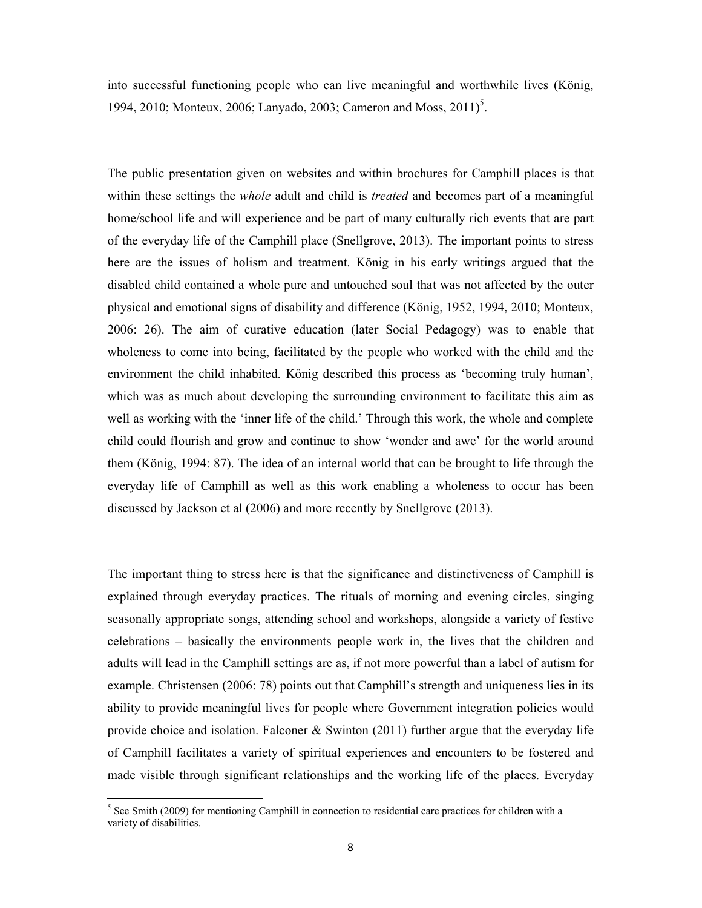into successful functioning people who can live meaningful and worthwhile lives (König, 1994, 2010; Monteux, 2006; Lanyado, 2003; Cameron and Moss, 2011)<sup>5</sup>.

The public presentation given on websites and within brochures for Camphill places is that within these settings the *whole* adult and child is *treated* and becomes part of a meaningful home/school life and will experience and be part of many culturally rich events that are part of the everyday life of the Camphill place (Snellgrove, 2013). The important points to stress here are the issues of holism and treatment. König in his early writings argued that the disabled child contained a whole pure and untouched soul that was not affected by the outer physical and emotional signs of disability and difference (König, 1952, 1994, 2010; Monteux, 2006: 26). The aim of curative education (later Social Pedagogy) was to enable that wholeness to come into being, facilitated by the people who worked with the child and the environment the child inhabited. König described this process as 'becoming truly human', which was as much about developing the surrounding environment to facilitate this aim as well as working with the 'inner life of the child.' Through this work, the whole and complete child could flourish and grow and continue to show 'wonder and awe' for the world around them (König, 1994: 87). The idea of an internal world that can be brought to life through the everyday life of Camphill as well as this work enabling a wholeness to occur has been discussed by Jackson et al (2006) and more recently by Snellgrove (2013).

The important thing to stress here is that the significance and distinctiveness of Camphill is explained through everyday practices. The rituals of morning and evening circles, singing seasonally appropriate songs, attending school and workshops, alongside a variety of festive celebrations – basically the environments people work in, the lives that the children and adults will lead in the Camphill settings are as, if not more powerful than a label of autism for example. Christensen (2006: 78) points out that Camphill's strength and uniqueness lies in its ability to provide meaningful lives for people where Government integration policies would provide choice and isolation. Falconer  $\&$  Swinton (2011) further argue that the everyday life of Camphill facilitates a variety of spiritual experiences and encounters to be fostered and made visible through significant relationships and the working life of the places. Everyday

<sup>&</sup>lt;sup>5</sup> See Smith (2009) for mentioning Camphill in connection to residential care practices for children with a variety of disabilities.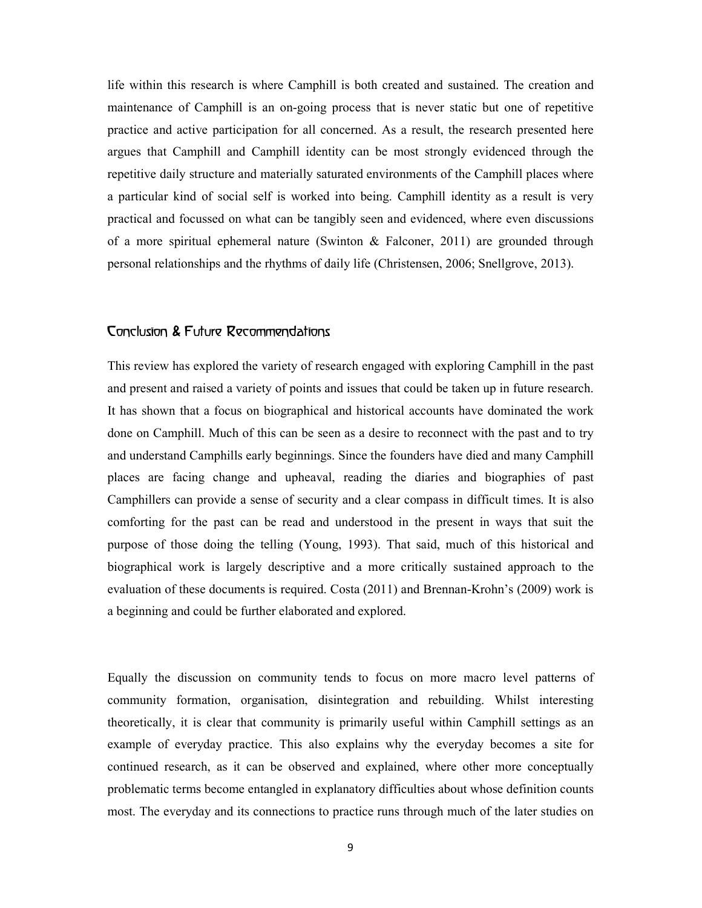life within this research is where Camphill is both created and sustained. The creation and maintenance of Camphill is an on-going process that is never static but one of repetitive practice and active participation for all concerned. As a result, the research presented here argues that Camphill and Camphill identity can be most strongly evidenced through the repetitive daily structure and materially saturated environments of the Camphill places where a particular kind of social self is worked into being. Camphill identity as a result is very practical and focussed on what can be tangibly seen and evidenced, where even discussions of a more spiritual ephemeral nature (Swinton  $\&$  Falconer, 2011) are grounded through personal relationships and the rhythms of daily life (Christensen, 2006; Snellgrove, 2013).

### Conclusion & Future Recommendations

This review has explored the variety of research engaged with exploring Camphill in the past and present and raised a variety of points and issues that could be taken up in future research. It has shown that a focus on biographical and historical accounts have dominated the work done on Camphill. Much of this can be seen as a desire to reconnect with the past and to try and understand Camphills early beginnings. Since the founders have died and many Camphill places are facing change and upheaval, reading the diaries and biographies of past Camphillers can provide a sense of security and a clear compass in difficult times. It is also comforting for the past can be read and understood in the present in ways that suit the purpose of those doing the telling (Young, 1993). That said, much of this historical and biographical work is largely descriptive and a more critically sustained approach to the evaluation of these documents is required. Costa (2011) and Brennan-Krohn's (2009) work is a beginning and could be further elaborated and explored.

Equally the discussion on community tends to focus on more macro level patterns of community formation, organisation, disintegration and rebuilding. Whilst interesting theoretically, it is clear that community is primarily useful within Camphill settings as an example of everyday practice. This also explains why the everyday becomes a site for continued research, as it can be observed and explained, where other more conceptually problematic terms become entangled in explanatory difficulties about whose definition counts most. The everyday and its connections to practice runs through much of the later studies on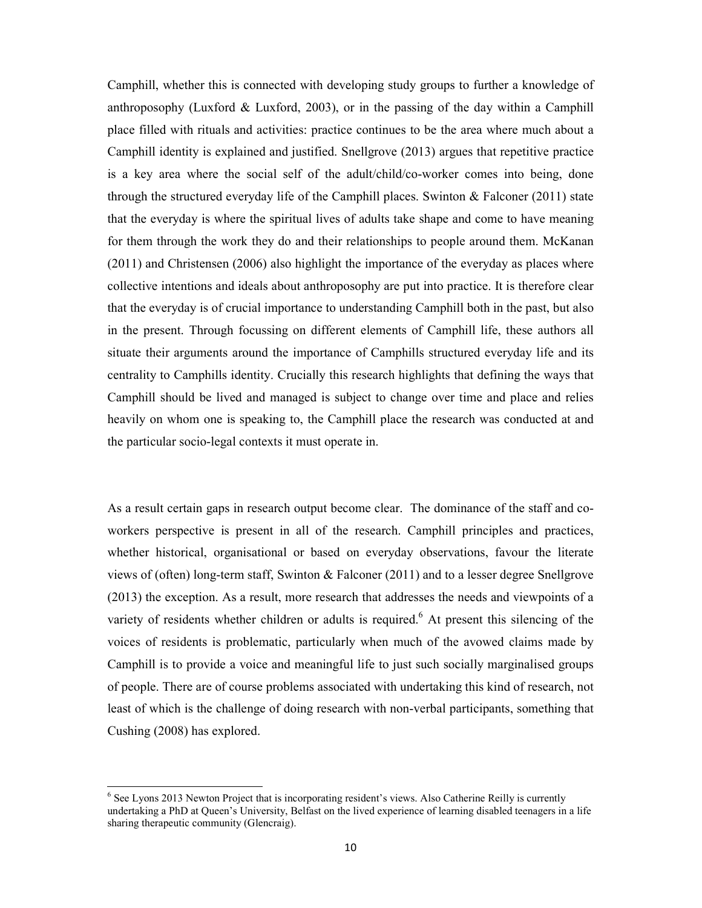Camphill, whether this is connected with developing study groups to further a knowledge of anthroposophy (Luxford & Luxford, 2003), or in the passing of the day within a Camphill place filled with rituals and activities: practice continues to be the area where much about a Camphill identity is explained and justified. Snellgrove (2013) argues that repetitive practice is a key area where the social self of the adult/child/co-worker comes into being, done through the structured everyday life of the Camphill places. Swinton  $\&$  Falconer (2011) state that the everyday is where the spiritual lives of adults take shape and come to have meaning for them through the work they do and their relationships to people around them. McKanan (2011) and Christensen (2006) also highlight the importance of the everyday as places where collective intentions and ideals about anthroposophy are put into practice. It is therefore clear that the everyday is of crucial importance to understanding Camphill both in the past, but also in the present. Through focussing on different elements of Camphill life, these authors all situate their arguments around the importance of Camphills structured everyday life and its centrality to Camphills identity. Crucially this research highlights that defining the ways that Camphill should be lived and managed is subject to change over time and place and relies heavily on whom one is speaking to, the Camphill place the research was conducted at and the particular socio-legal contexts it must operate in.

As a result certain gaps in research output become clear. The dominance of the staff and coworkers perspective is present in all of the research. Camphill principles and practices, whether historical, organisational or based on everyday observations, favour the literate views of (often) long-term staff, Swinton & Falconer (2011) and to a lesser degree Snellgrove (2013) the exception. As a result, more research that addresses the needs and viewpoints of a variety of residents whether children or adults is required.<sup>6</sup> At present this silencing of the voices of residents is problematic, particularly when much of the avowed claims made by Camphill is to provide a voice and meaningful life to just such socially marginalised groups of people. There are of course problems associated with undertaking this kind of research, not least of which is the challenge of doing research with non-verbal participants, something that Cushing (2008) has explored.

<sup>&</sup>lt;sup>6</sup> See Lyons 2013 Newton Project that is incorporating resident's views. Also Catherine Reilly is currently undertaking a PhD at Queen's University, Belfast on the lived experience of learning disabled teenagers in a life sharing therapeutic community (Glencraig).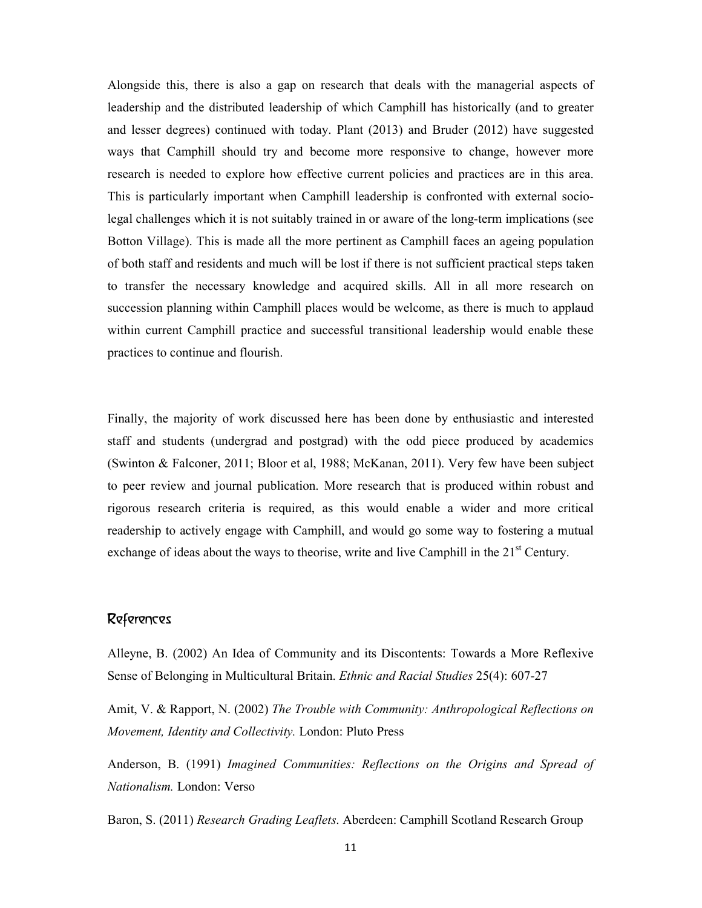Alongside this, there is also a gap on research that deals with the managerial aspects of leadership and the distributed leadership of which Camphill has historically (and to greater and lesser degrees) continued with today. Plant (2013) and Bruder (2012) have suggested ways that Camphill should try and become more responsive to change, however more research is needed to explore how effective current policies and practices are in this area. This is particularly important when Camphill leadership is confronted with external sociolegal challenges which it is not suitably trained in or aware of the long-term implications (see Botton Village). This is made all the more pertinent as Camphill faces an ageing population of both staff and residents and much will be lost if there is not sufficient practical steps taken to transfer the necessary knowledge and acquired skills. All in all more research on succession planning within Camphill places would be welcome, as there is much to applaud within current Camphill practice and successful transitional leadership would enable these practices to continue and flourish.

Finally, the majority of work discussed here has been done by enthusiastic and interested staff and students (undergrad and postgrad) with the odd piece produced by academics (Swinton & Falconer, 2011; Bloor et al, 1988; McKanan, 2011). Very few have been subject to peer review and journal publication. More research that is produced within robust and rigorous research criteria is required, as this would enable a wider and more critical readership to actively engage with Camphill, and would go some way to fostering a mutual exchange of ideas about the ways to theorise, write and live Camphill in the  $21<sup>st</sup>$  Century.

### References

Alleyne, B. (2002) An Idea of Community and its Discontents: Towards a More Reflexive Sense of Belonging in Multicultural Britain. *Ethnic and Racial Studies* 25(4): 607-27

Amit, V. & Rapport, N. (2002) *The Trouble with Community: Anthropological Reflections on Movement, Identity and Collectivity.* London: Pluto Press

Anderson, B. (1991) *Imagined Communities: Reflections on the Origins and Spread of Nationalism.* London: Verso

Baron, S. (2011) *Research Grading Leaflets*. Aberdeen: Camphill Scotland Research Group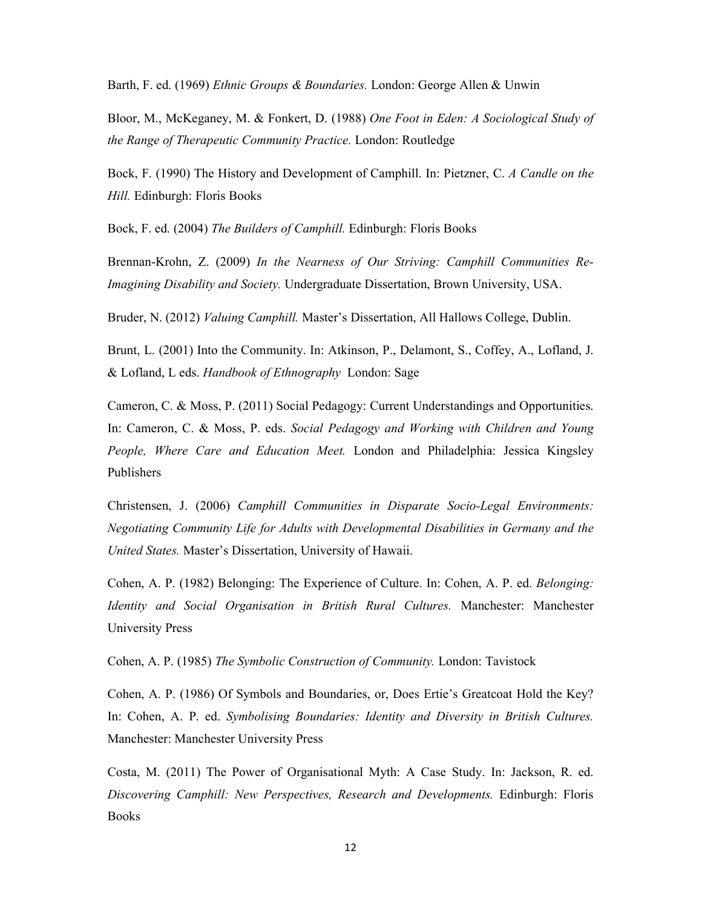Barth, F. ed. (1969) *Ethnic Groups & Boundaries.* London: George Allen & Unwin

Bloor, M., McKeganey, M. & Fonkert, D. (1988) *One Foot in Eden: A Sociological Study of the Range of Therapeutic Community Practice.* London: Routledge

Bock, F. (1990) The History and Development of Camphill. In: Pietzner, C. *A Candle on the Hill.* Edinburgh: Floris Books

Bock, F. ed. (2004) *The Builders of Camphill.* Edinburgh: Floris Books

Brennan-Krohn, Z. (2009) *In the Nearness of Our Striving: Camphill Communities Re-Imagining Disability and Society.* Undergraduate Dissertation, Brown University, USA.

Bruder, N. (2012) *Valuing Camphill.* Master's Dissertation, All Hallows College, Dublin.

Brunt, L. (2001) Into the Community. In: Atkinson, P., Delamont, S., Coffey, A., Lofland, J. & Lofland, L eds. *Handbook of Ethnography* London: Sage

Cameron, C. & Moss, P. (2011) Social Pedagogy: Current Understandings and Opportunities. In: Cameron, C. & Moss, P. eds. *Social Pedagogy and Working with Children and Young People, Where Care and Education Meet.* London and Philadelphia: Jessica Kingsley Publishers

Christensen, J. (2006) *Camphill Communities in Disparate Socio-Legal Environments: Negotiating Community Life for Adults with Developmental Disabilities in Germany and the United States.* Master's Dissertation, University of Hawaii.

Cohen, A. P. (1982) Belonging: The Experience of Culture. In: Cohen, A. P. ed. *Belonging: Identity and Social Organisation in British Rural Cultures.* Manchester: Manchester University Press

Cohen, A. P. (1985) *The Symbolic Construction of Community.* London: Tavistock

Cohen, A. P. (1986) Of Symbols and Boundaries, or, Does Ertie's Greatcoat Hold the Key? In: Cohen, A. P. ed. *Symbolising Boundaries: Identity and Diversity in British Cultures.* Manchester: Manchester University Press

Costa, M. (2011) The Power of Organisational Myth: A Case Study. In: Jackson, R. ed. *Discovering Camphill: New Perspectives, Research and Developments.* Edinburgh: Floris **Books**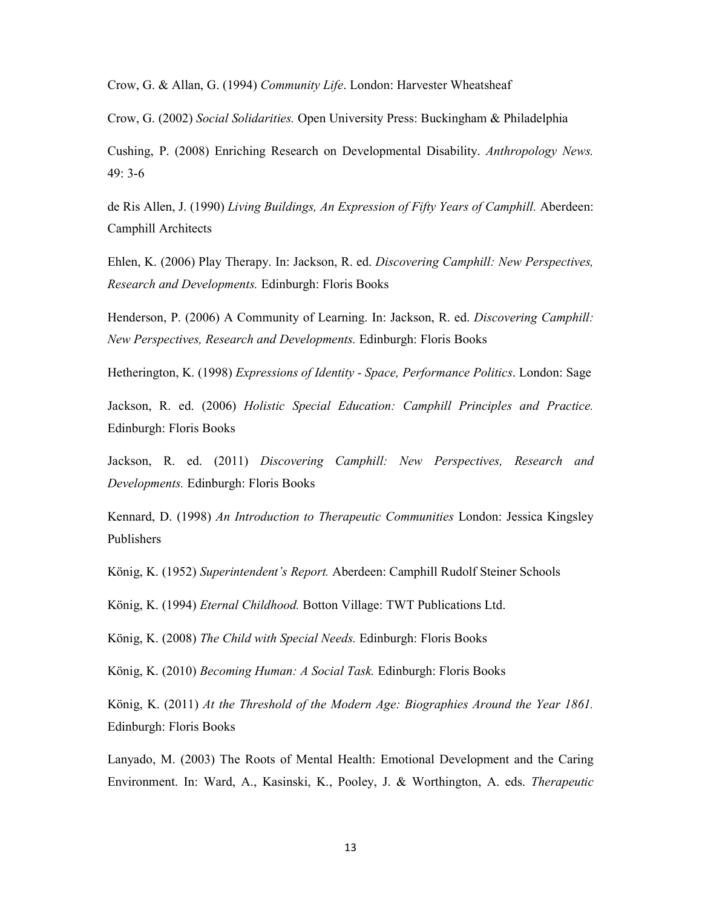Crow, G. & Allan, G. (1994) *Community Life*. London: Harvester Wheatsheaf

Crow, G. (2002) *Social Solidarities.* Open University Press: Buckingham & Philadelphia

Cushing, P. (2008) Enriching Research on Developmental Disability. *Anthropology News.* 49: 3-6

de Ris Allen, J. (1990) *Living Buildings, An Expression of Fifty Years of Camphill.* Aberdeen: Camphill Architects

Ehlen, K. (2006) Play Therapy. In: Jackson, R. ed. *Discovering Camphill: New Perspectives, Research and Developments.* Edinburgh: Floris Books

Henderson, P. (2006) A Community of Learning. In: Jackson, R. ed. *Discovering Camphill: New Perspectives, Research and Developments.* Edinburgh: Floris Books

Hetherington, K. (1998) *Expressions of Identity - Space, Performance Politics*. London: Sage

Jackson, R. ed. (2006) *Holistic Special Education: Camphill Principles and Practice.* Edinburgh: Floris Books

Jackson, R. ed. (2011) *Discovering Camphill: New Perspectives, Research and Developments.* Edinburgh: Floris Books

Kennard, D. (1998) *An Introduction to Therapeutic Communities* London: Jessica Kingsley Publishers

König, K. (1952) *Superintendent's Report.* Aberdeen: Camphill Rudolf Steiner Schools

König, K. (1994) *Eternal Childhood.* Botton Village: TWT Publications Ltd.

König, K. (2008) *The Child with Special Needs.* Edinburgh: Floris Books

König, K. (2010) *Becoming Human: A Social Task.* Edinburgh: Floris Books

König, K. (2011) *At the Threshold of the Modern Age: Biographies Around the Year 1861.* Edinburgh: Floris Books

Lanyado, M. (2003) The Roots of Mental Health: Emotional Development and the Caring Environment. In: Ward, A., Kasinski, K., Pooley, J. & Worthington, A. eds. *Therapeutic*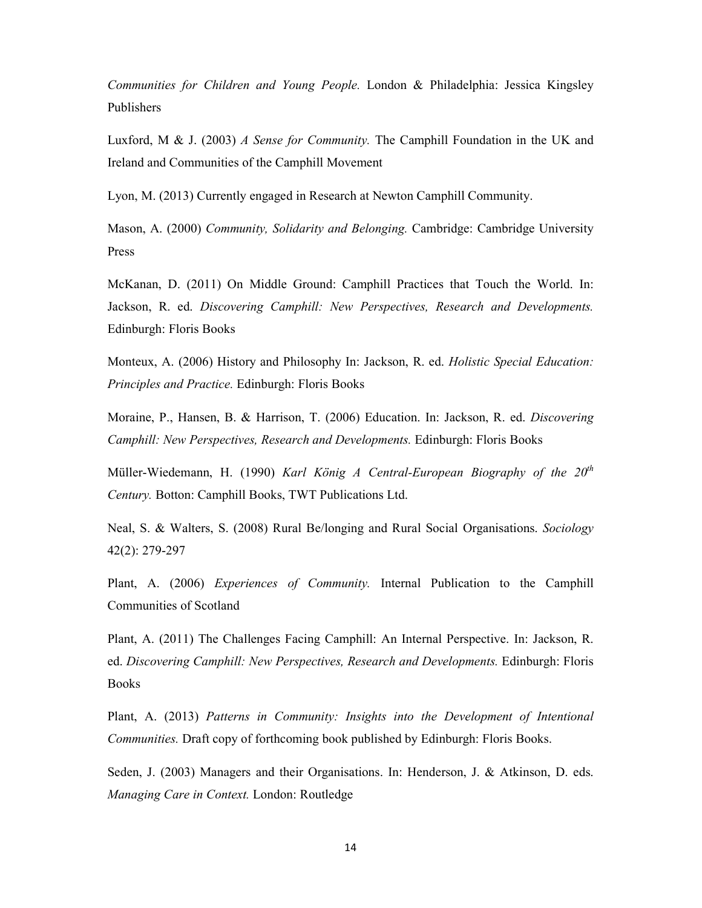*Communities for Children and Young People.* London & Philadelphia: Jessica Kingsley Publishers

Luxford, M & J. (2003) *A Sense for Community.* The Camphill Foundation in the UK and Ireland and Communities of the Camphill Movement

Lyon, M. (2013) Currently engaged in Research at Newton Camphill Community.

Mason, A. (2000) *Community, Solidarity and Belonging.* Cambridge: Cambridge University Press

McKanan, D. (2011) On Middle Ground: Camphill Practices that Touch the World. In: Jackson, R. ed. *Discovering Camphill: New Perspectives, Research and Developments.* Edinburgh: Floris Books

Monteux, A. (2006) History and Philosophy In: Jackson, R. ed. *Holistic Special Education: Principles and Practice.* Edinburgh: Floris Books

Moraine, P., Hansen, B. & Harrison, T. (2006) Education. In: Jackson, R. ed. *Discovering Camphill: New Perspectives, Research and Developments.* Edinburgh: Floris Books

Müller-Wiedemann, H. (1990) *Karl König A Central-European Biography of the 20th Century.* Botton: Camphill Books, TWT Publications Ltd.

Neal, S. & Walters, S. (2008) Rural Be/longing and Rural Social Organisations. *Sociology* 42(2): 279-297

Plant, A. (2006) *Experiences of Community.* Internal Publication to the Camphill Communities of Scotland

Plant, A. (2011) The Challenges Facing Camphill: An Internal Perspective. In: Jackson, R. ed. *Discovering Camphill: New Perspectives, Research and Developments.* Edinburgh: Floris Books

Plant, A. (2013) *Patterns in Community: Insights into the Development of Intentional Communities.* Draft copy of forthcoming book published by Edinburgh: Floris Books.

Seden, J. (2003) Managers and their Organisations. In: Henderson, J. & Atkinson, D. eds. *Managing Care in Context.* London: Routledge